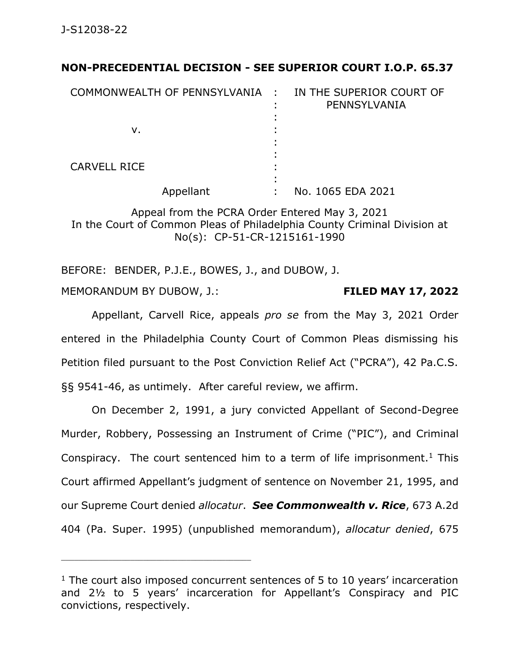## **NON-PRECEDENTIAL DECISION - SEE SUPERIOR COURT I.O.P. 65.37**

| COMMONWEALTH OF PENNSYLVANIA : | IN THE SUPERIOR COURT OF<br>PENNSYLVANIA |
|--------------------------------|------------------------------------------|
| ν.                             |                                          |
| <b>CARVELL RICE</b>            |                                          |
| Appellant                      | No. 1065 EDA 2021                        |

Appeal from the PCRA Order Entered May 3, 2021 In the Court of Common Pleas of Philadelphia County Criminal Division at No(s): CP-51-CR-1215161-1990

BEFORE: BENDER, P.J.E., BOWES, J., and DUBOW, J.

\_\_\_\_\_\_\_\_\_\_\_\_\_\_\_\_\_\_\_\_\_\_\_\_\_\_\_\_\_\_\_\_\_\_\_\_\_\_\_\_\_\_\_\_

MEMORANDUM BY DUBOW, J.: **FILED MAY 17, 2022**

Appellant, Carvell Rice, appeals *pro se* from the May 3, 2021 Order entered in the Philadelphia County Court of Common Pleas dismissing his Petition filed pursuant to the Post Conviction Relief Act ("PCRA"), 42 Pa.C.S. §§ 9541-46, as untimely. After careful review, we affirm.

On December 2, 1991, a jury convicted Appellant of Second-Degree Murder, Robbery, Possessing an Instrument of Crime ("PIC"), and Criminal Conspiracy. The court sentenced him to a term of life imprisonment.<sup>1</sup> This Court affirmed Appellant's judgment of sentence on November 21, 1995, and our Supreme Court denied *allocatur*. *See Commonwealth v. Rice*, 673 A.2d 404 (Pa. Super. 1995) (unpublished memorandum), *allocatur denied*, 675

 $1$  The court also imposed concurrent sentences of 5 to 10 years' incarceration and 2½ to 5 years' incarceration for Appellant's Conspiracy and PIC convictions, respectively.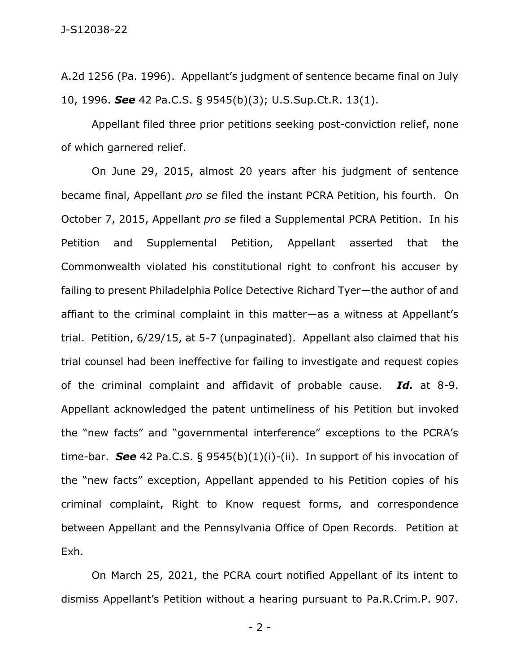A.2d 1256 (Pa. 1996). Appellant's judgment of sentence became final on July 10, 1996. *See* 42 Pa.C.S. § 9545(b)(3); U.S.Sup.Ct.R. 13(1).

Appellant filed three prior petitions seeking post-conviction relief, none of which garnered relief.

On June 29, 2015, almost 20 years after his judgment of sentence became final, Appellant *pro se* filed the instant PCRA Petition, his fourth. On October 7, 2015, Appellant *pro se* filed a Supplemental PCRA Petition. In his Petition and Supplemental Petition, Appellant asserted that the Commonwealth violated his constitutional right to confront his accuser by failing to present Philadelphia Police Detective Richard Tyer—the author of and affiant to the criminal complaint in this matter—as a witness at Appellant's trial. Petition, 6/29/15, at 5-7 (unpaginated). Appellant also claimed that his trial counsel had been ineffective for failing to investigate and request copies of the criminal complaint and affidavit of probable cause. *Id.* at 8-9. Appellant acknowledged the patent untimeliness of his Petition but invoked the "new facts" and "governmental interference" exceptions to the PCRA's time-bar. *See* 42 Pa.C.S. § 9545(b)(1)(i)-(ii). In support of his invocation of the "new facts" exception, Appellant appended to his Petition copies of his criminal complaint, Right to Know request forms, and correspondence between Appellant and the Pennsylvania Office of Open Records. Petition at Exh.

On March 25, 2021, the PCRA court notified Appellant of its intent to dismiss Appellant's Petition without a hearing pursuant to Pa.R.Crim.P. 907.

- 2 -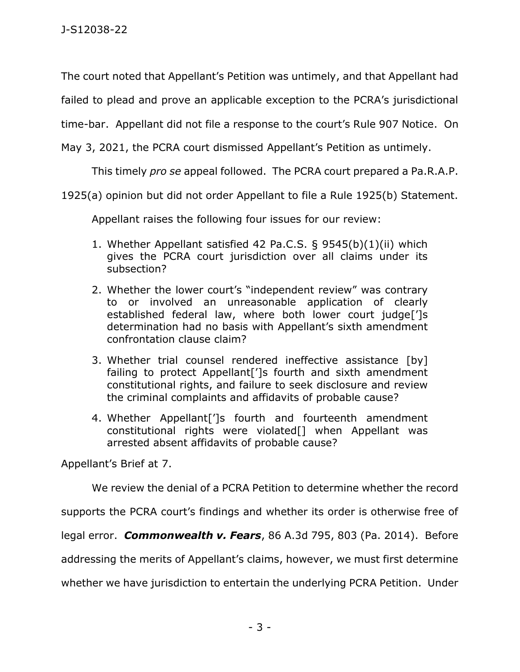The court noted that Appellant's Petition was untimely, and that Appellant had

failed to plead and prove an applicable exception to the PCRA's jurisdictional

time-bar. Appellant did not file a response to the court's Rule 907 Notice. On

May 3, 2021, the PCRA court dismissed Appellant's Petition as untimely.

This timely *pro se* appeal followed. The PCRA court prepared a Pa.R.A.P.

1925(a) opinion but did not order Appellant to file a Rule 1925(b) Statement.

Appellant raises the following four issues for our review:

- 1. Whether Appellant satisfied 42 Pa.C.S. § 9545(b)(1)(ii) which gives the PCRA court jurisdiction over all claims under its subsection?
- 2. Whether the lower court's "independent review" was contrary to or involved an unreasonable application of clearly established federal law, where both lower court judge[']s determination had no basis with Appellant's sixth amendment confrontation clause claim?
- 3. Whether trial counsel rendered ineffective assistance [by] failing to protect Appellant[']s fourth and sixth amendment constitutional rights, and failure to seek disclosure and review the criminal complaints and affidavits of probable cause?
- 4. Whether Appellant[']s fourth and fourteenth amendment constitutional rights were violated[] when Appellant was arrested absent affidavits of probable cause?

Appellant's Brief at 7.

We review the denial of a PCRA Petition to determine whether the record

supports the PCRA court's findings and whether its order is otherwise free of

legal error. *Commonwealth v. Fears*, 86 A.3d 795, 803 (Pa. 2014). Before

addressing the merits of Appellant's claims, however, we must first determine

whether we have jurisdiction to entertain the underlying PCRA Petition. Under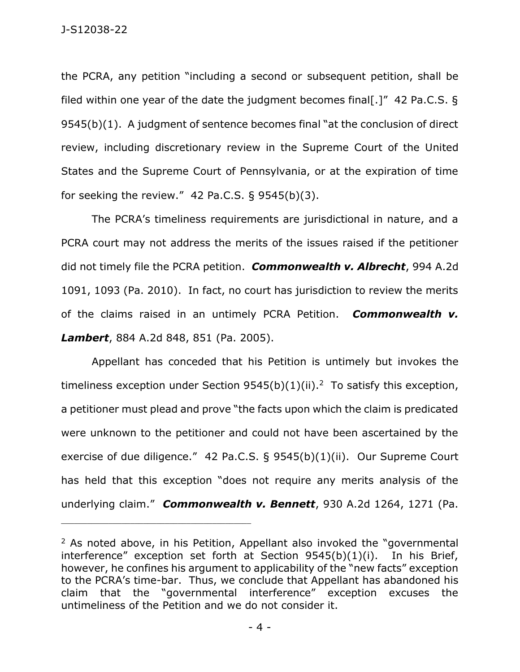the PCRA, any petition "including a second or subsequent petition, shall be filed within one year of the date the judgment becomes final[.]" 42 Pa.C.S. § 9545(b)(1). A judgment of sentence becomes final "at the conclusion of direct review, including discretionary review in the Supreme Court of the United States and the Supreme Court of Pennsylvania, or at the expiration of time for seeking the review."  $42$  Pa.C.S. § 9545(b)(3).

The PCRA's timeliness requirements are jurisdictional in nature, and a PCRA court may not address the merits of the issues raised if the petitioner did not timely file the PCRA petition. *Commonwealth v. Albrecht*, 994 A.2d 1091, 1093 (Pa. 2010). In fact, no court has jurisdiction to review the merits of the claims raised in an untimely PCRA Petition. *Commonwealth v. Lambert*, 884 A.2d 848, 851 (Pa. 2005).

Appellant has conceded that his Petition is untimely but invokes the timeliness exception under Section  $9545(b)(1)(ii).<sup>2</sup>$  To satisfy this exception, a petitioner must plead and prove "the facts upon which the claim is predicated were unknown to the petitioner and could not have been ascertained by the exercise of due diligence." 42 Pa.C.S. § 9545(b)(1)(ii). Our Supreme Court has held that this exception "does not require any merits analysis of the underlying claim." *Commonwealth v. Bennett*, 930 A.2d 1264, 1271 (Pa.

<sup>&</sup>lt;sup>2</sup> As noted above, in his Petition, Appellant also invoked the "governmental" interference" exception set forth at Section 9545(b)(1)(i). In his Brief, however, he confines his argument to applicability of the "new facts" exception to the PCRA's time-bar. Thus, we conclude that Appellant has abandoned his claim that the "governmental interference" exception excuses the untimeliness of the Petition and we do not consider it.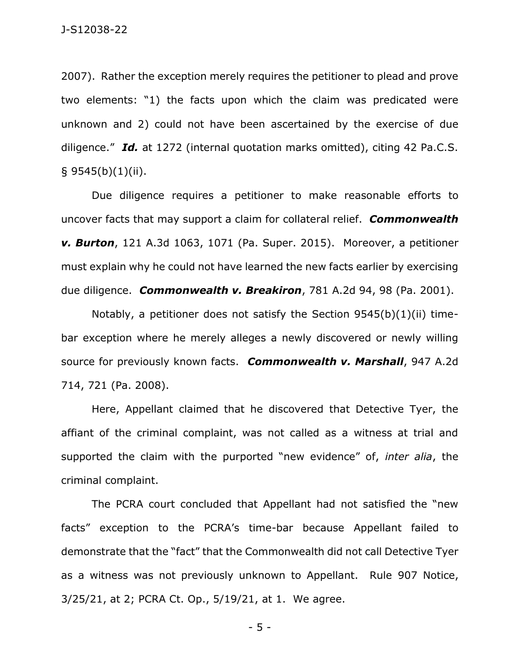2007). Rather the exception merely requires the petitioner to plead and prove two elements: "1) the facts upon which the claim was predicated were unknown and 2) could not have been ascertained by the exercise of due diligence." *Id.* at 1272 (internal quotation marks omitted), citing 42 Pa.C.S.  $§$  9545(b)(1)(ii).

Due diligence requires a petitioner to make reasonable efforts to uncover facts that may support a claim for collateral relief. *Commonwealth v. Burton*, 121 A.3d 1063, 1071 (Pa. Super. 2015). Moreover, a petitioner must explain why he could not have learned the new facts earlier by exercising due diligence. *Commonwealth v. Breakiron*, 781 A.2d 94, 98 (Pa. 2001).

Notably, a petitioner does not satisfy the Section 9545(b)(1)(ii) timebar exception where he merely alleges a newly discovered or newly willing source for previously known facts. *Commonwealth v. Marshall*, 947 A.2d 714, 721 (Pa. 2008).

Here, Appellant claimed that he discovered that Detective Tyer, the affiant of the criminal complaint, was not called as a witness at trial and supported the claim with the purported "new evidence" of, *inter alia*, the criminal complaint.

The PCRA court concluded that Appellant had not satisfied the "new facts" exception to the PCRA's time-bar because Appellant failed to demonstrate that the "fact" that the Commonwealth did not call Detective Tyer as a witness was not previously unknown to Appellant. Rule 907 Notice, 3/25/21, at 2; PCRA Ct. Op., 5/19/21, at 1. We agree.

- 5 -